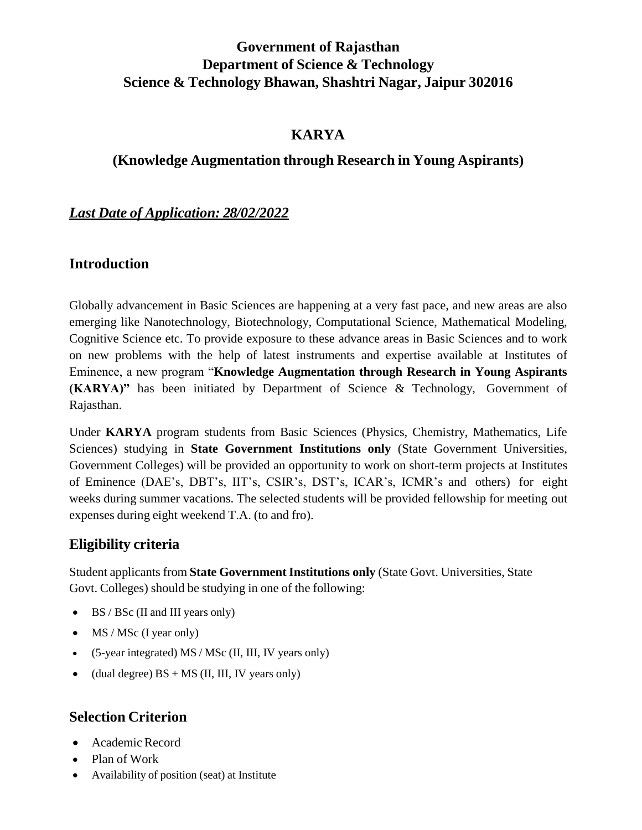# **Government of Rajasthan Department of Science & Technology Science & Technology Bhawan, Shashtri Nagar, Jaipur 302016**

#### **KARYA**

#### **(Knowledge Augmentation through Research in Young Aspirants)**

#### *Last Date of Application: 28/02/2022*

#### **Introduction**

Globally advancement in Basic Sciences are happening at a very fast pace, and new areas are also emerging like Nanotechnology, Biotechnology, Computational Science, Mathematical Modeling, Cognitive Science etc. To provide exposure to these advance areas in Basic Sciences and to work on new problems with the help of latest instruments and expertise available at Institutes of Eminence, a new program "**Knowledge Augmentation through Research in Young Aspirants (KARYA)"** has been initiated by Department of Science & Technology, Government of Rajasthan.

Under **KARYA** program students from Basic Sciences (Physics, Chemistry, Mathematics, Life Sciences) studying in **State Government Institutions only** (State Government Universities, Government Colleges) will be provided an opportunity to work on short-term projects at Institutes of Eminence (DAE's, DBT's, IIT's, CSIR's, DST's, ICAR's, ICMR's and others) for eight weeks during summer vacations. The selected students will be provided fellowship for meeting out expenses during eight weekend T.A. (to and fro).

#### **Eligibility criteria**

Student applicants from State Government Institutions only (State Govt. Universities, State Govt. Colleges) should be studying in one of the following:

- $\bullet$  BS / BSc (II and III years only)
- $\bullet$  MS / MSc (I year only)
- $\bullet$  (5-year integrated) MS / MSc (II, III, IV years only)
- (dual degree)  $BS + MS$  (II, III, IV years only)

### **Selection Criterion**

- Academic Record
- Plan of Work
- Availability of position (seat) at Institute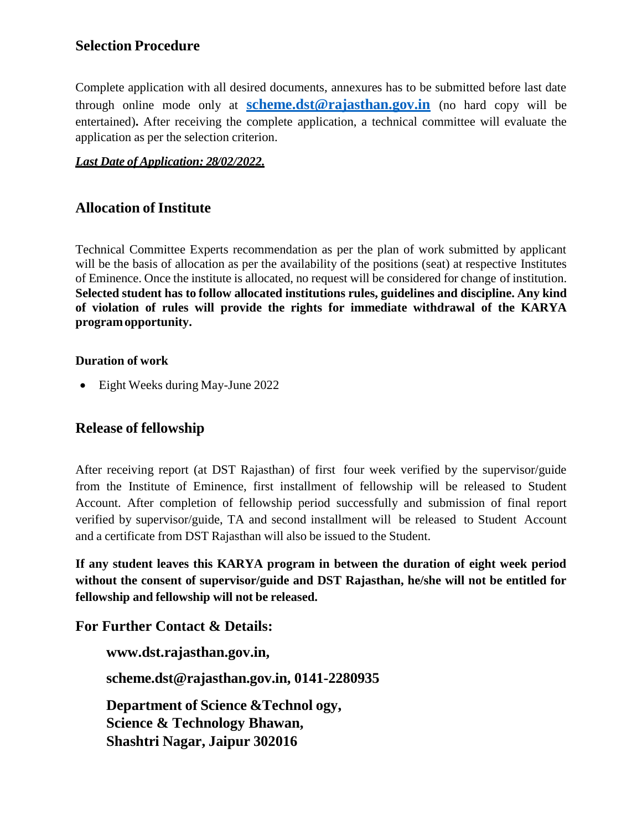#### **Selection Procedure**

Complete application with all desired documents, annexures has to be submitted before last date through online mode only at **[scheme.dst@rajasthan.gov.in](mailto:scheme.dst@rajasthan.gov.in)** (no hard copy will be entertained)**.** After receiving the complete application, a technical committee will evaluate the application as per the selection criterion.

#### *Last Date of Application: 28/02/2022.*

#### **Allocation of Institute**

Technical Committee Experts recommendation as per the plan of work submitted by applicant will be the basis of allocation as per the availability of the positions (seat) at respective Institutes of Eminence. Once the institute is allocated, no request will be considered for change of institution. **Selected student has to follow allocated institutions rules, guidelines and discipline. Any kind of violation of rules will provide the rights for immediate withdrawal of the KARYA programopportunity.**

#### **Duration of work**

• Eight Weeks during May-June 2022

#### **Release of fellowship**

After receiving report (at DST Rajasthan) of first four week verified by the supervisor/guide from the Institute of Eminence, first installment of fellowship will be released to Student Account. After completion of fellowship period successfully and submission of final report verified by supervisor/guide, TA and second installment will be released to Student Account and a certificate from DST Rajasthan will also be issued to the Student.

**If any student leaves this KARYA program in between the duration of eight week period without the consent of supervisor/guide and DST Rajasthan, he/she will not be entitled for fellowship and fellowship will not be released.**

**For Further Contact & Details:**

**[www.dst.rajasthan.gov.in,](http://www.dst.rajasthan.gov.in/)**

**[scheme.dst@rajasthan.gov.in,](mailto:karya.dst.rajasthan@gmail.com) 0141-2280935**

**Department of Science &Technol ogy, Science & Technology Bhawan, Shashtri Nagar, Jaipur 302016**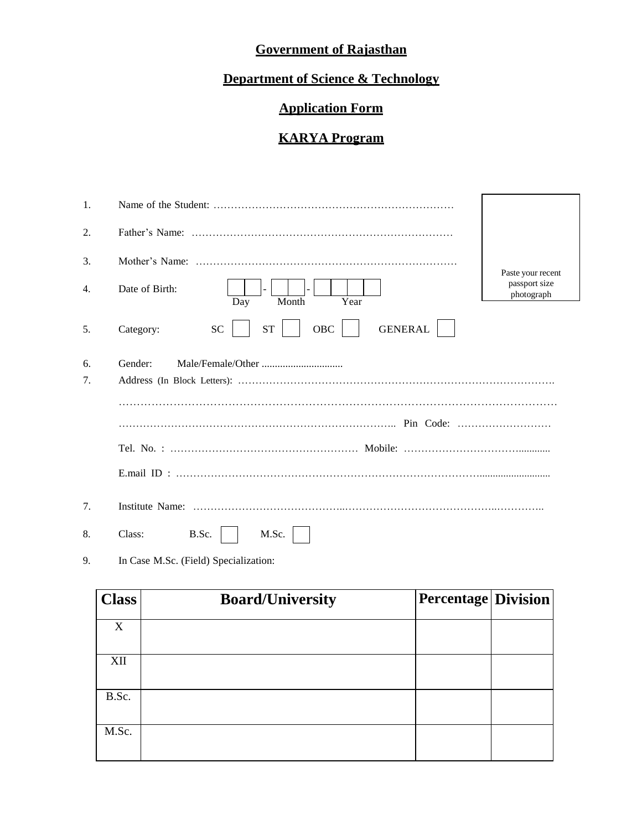# **Government of Rajasthan**

# **Department of Science & Technology**

# **Application Form**

#### **KARYA Program**

| 1. |                                                              |                             |  |  |  |  |  |
|----|--------------------------------------------------------------|-----------------------------|--|--|--|--|--|
| 2. |                                                              |                             |  |  |  |  |  |
| 3. |                                                              | Paste your recent           |  |  |  |  |  |
| 4. | Date of Birth:<br>Year<br>Month<br>Day                       | passport size<br>photograph |  |  |  |  |  |
| 5. | <b>SC</b><br><b>ST</b><br>OBC<br><b>GENERAL</b><br>Category: |                             |  |  |  |  |  |
| 6. | Gender:                                                      |                             |  |  |  |  |  |
| 7. |                                                              |                             |  |  |  |  |  |
|    |                                                              |                             |  |  |  |  |  |
|    |                                                              |                             |  |  |  |  |  |
|    |                                                              |                             |  |  |  |  |  |
|    |                                                              |                             |  |  |  |  |  |
| 7. |                                                              |                             |  |  |  |  |  |
| 8. | Class:<br>B.Sc.<br>M.Sc.                                     |                             |  |  |  |  |  |

9. In Case M.Sc. (Field) Specialization:

| <b>Class</b> | <b>Board/University</b> | <b>Percentage Division</b> |  |
|--------------|-------------------------|----------------------------|--|
| X            |                         |                            |  |
| XII          |                         |                            |  |
| B.Sc.        |                         |                            |  |
|              |                         |                            |  |
| M.Sc.        |                         |                            |  |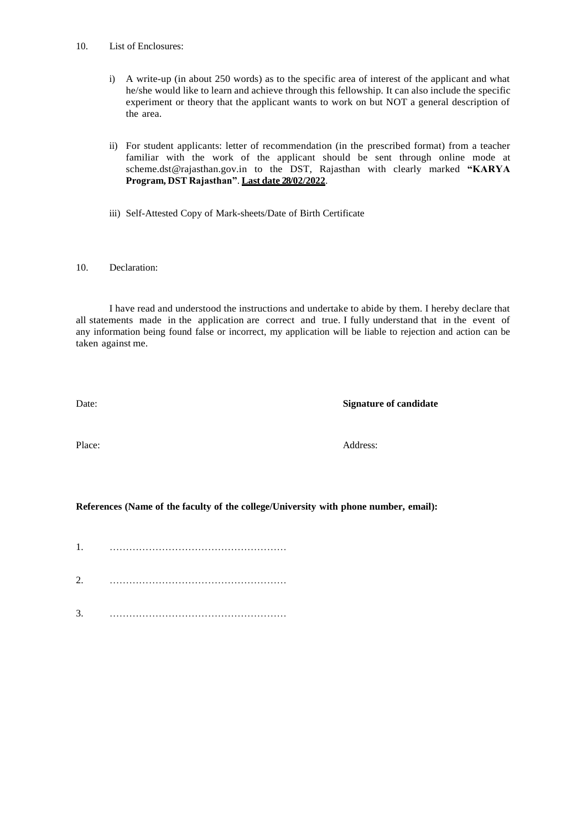- 10. List of Enclosures:
	- i) A write-up (in about 250 words) as to the specific area of interest of the applicant and what he/she would like to learn and achieve through this fellowship. It can also include the specific experiment or theory that the applicant wants to work on but NOT a general description of the area.
	- ii) For student applicants: letter of recommendation (in the prescribed format) from a teacher familiar with the work of the applicant should be sent through online mode at [scheme.dst@rajasthan.gov.in](mailto:karya.dst.rajasthan@gmail.com) to the DST, Rajasthan with clearly marked **"KARYA Program, DST Rajasthan"**. **Last date 28/02/2022**.
	- iii) Self-Attested Copy of Mark-sheets/Date of Birth Certificate

#### 10. Declaration:

I have read and understood the instructions and undertake to abide by them. I hereby declare that all statements made in the application are correct and true. I fully understand that in the event of any information being found false or incorrect, my application will be liable to rejection and action can be taken against me.

Date: **Signature of candidate**

Place: Address:

#### **References (Name of the faculty of the college/University with phone number, email):**

- 1. ………………………………………………
- 2. ………………………………………………
- 3. ………………………………………………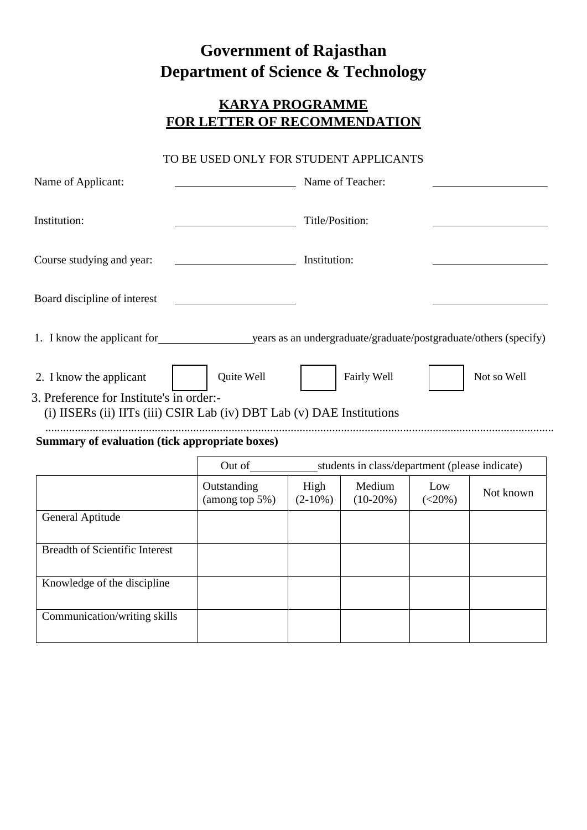# **Government of Rajasthan Department of Science & Technology**

### **KARYA PROGRAMME FOR LETTER OF RECOMMENDATION**

#### TO BE USED ONLY FOR STUDENT APPLICANTS

| Name of Applicant:                                                                                                |                               |                    | Name of Teacher:                                      |                  |             |  |
|-------------------------------------------------------------------------------------------------------------------|-------------------------------|--------------------|-------------------------------------------------------|------------------|-------------|--|
| Institution:                                                                                                      |                               |                    | Title/Position:                                       |                  |             |  |
| Course studying and year:                                                                                         |                               |                    | Institution:                                          |                  |             |  |
| Board discipline of interest                                                                                      |                               |                    |                                                       |                  |             |  |
|                                                                                                                   |                               |                    |                                                       |                  |             |  |
| 2. I know the applicant                                                                                           | Quite Well                    |                    | Fairly Well                                           |                  | Not so Well |  |
| 3. Preference for Institute's in order:-<br>(i) IISERs (ii) IITs (iii) CSIR Lab (iv) DBT Lab (v) DAE Institutions |                               |                    |                                                       |                  |             |  |
| Summary of evaluation (tick appropriate boxes)                                                                    |                               |                    |                                                       |                  |             |  |
|                                                                                                                   |                               |                    | Out of students in class/department (please indicate) |                  |             |  |
|                                                                                                                   | Outstanding<br>(among top 5%) | High<br>$(2-10\%)$ | Medium<br>$(10-20%)$                                  | Low<br>$(<20\%)$ | Not known   |  |
| <b>General Aptitude</b>                                                                                           |                               |                    |                                                       |                  |             |  |
| <b>Breadth of Scientific Interest</b>                                                                             |                               |                    |                                                       |                  |             |  |
| Knowledge of the discipline                                                                                       |                               |                    |                                                       |                  |             |  |
| Communication/writing skills                                                                                      |                               |                    |                                                       |                  |             |  |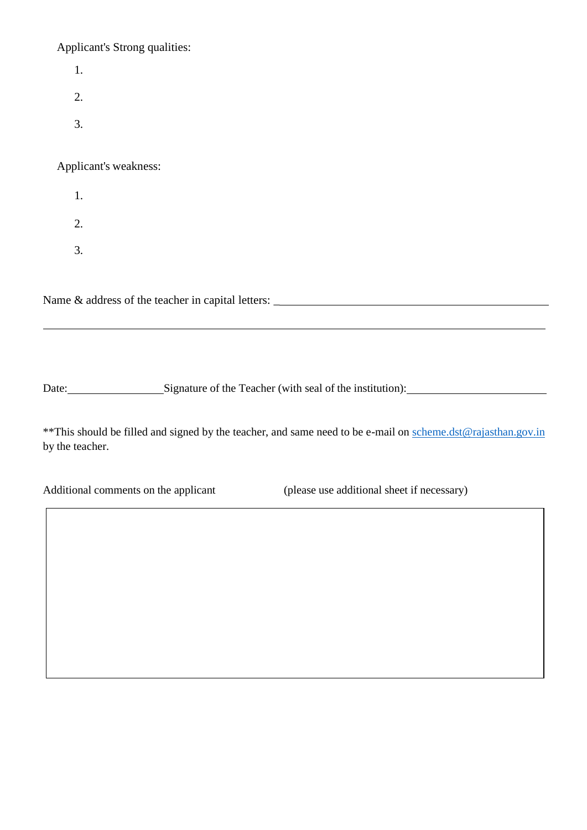Applicant's Strong qualities:

|    | Applicant's Strong qualities:                     |
|----|---------------------------------------------------|
| 1. |                                                   |
| 2. |                                                   |
| 3. |                                                   |
|    | Applicant's weakness:                             |
| 1. |                                                   |
| 2. |                                                   |
| 3. |                                                   |
|    |                                                   |
|    | Name & address of the teacher in capital letters: |

Date: Signature of the Teacher (with seal of the institution):

\*\*This should be filled and signed by the teacher, and same need to be e-mail on [scheme.dst@rajasthan.gov.in](mailto:scheme.dst@rajasthan.gov.in) by the teacher.

(please use additional sheet if necessary)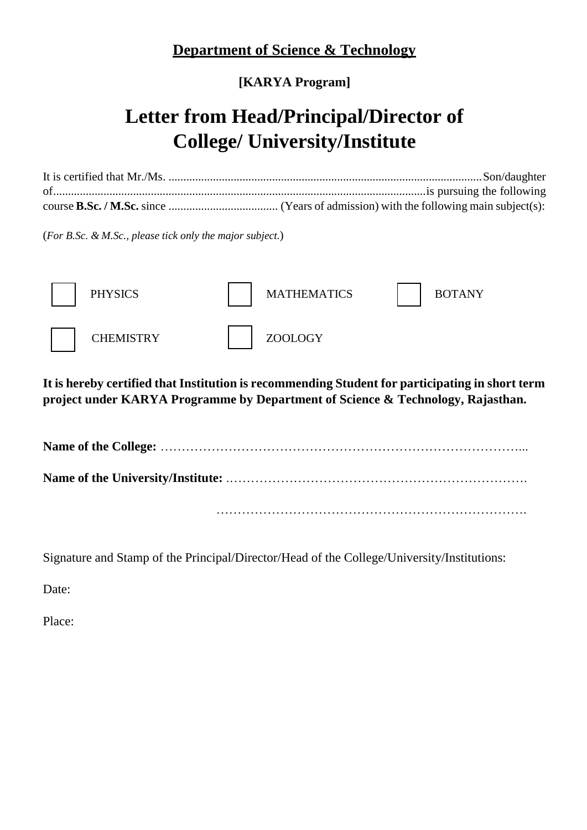# **Department of Science & Technology**

# **[KARYA Program]**

# **Letter from Head/Principal/Director of College/ University/Institute**

It is certified that Mr./Ms. ..........................................................................................................Son/daughter of..............................................................................................................................is pursuing the following course **B.Sc. / M.Sc.** since ..................................... (Years of admission) with the following main subject(s):

(*For B.Sc. & M.Sc., please tick only the major subject.*)



**It is hereby certified that Institution is recommending Student for participating in short term project under KARYA Programme by Department of Science & Technology, Rajasthan.**

**Name of the College:** …………………………………………………………………………... **Name of the University/Institute:** .……………………………………………………………. ……………………………………………………………….

Signature and Stamp of the Principal/Director/Head of the College/University/Institutions:

Date:

Place: